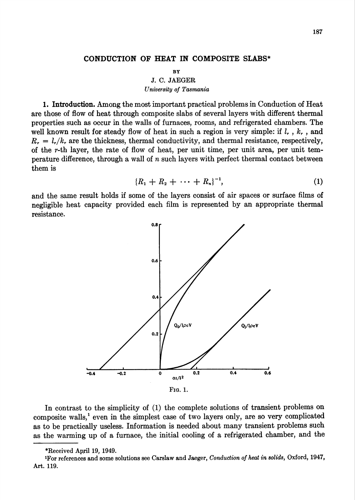## CONDUCTION OF HEAT IN COMPOSITE SLABS\*

BY

J. C. JAEGER University of Tasmania

1. Introduction. Among the most important practical problems in Conduction of Heat are those of flow of heat through composite slabs of several layers with different thermal properties such as occur in the walls of furnaces, rooms, and refrigerated chambers. The well known result for steady flow of heat in such a region is very simple: if  $l_r$ ,  $k_r$ , and  $R_r = l_r/k_r$ , are the thickness, thermal conductivity, and thermal resistance, respectively, of the r-th layer, the rate of flow of heat, per unit time, per unit area, per unit temperature difference, through a wall of  $n$  such layers with perfect thermal contact between them is

$$
{R_1 + R_2 + \cdots + R_n}^{-1}, \qquad (1)
$$

and the same result holds if some of the layers consist of air spaces or surface films of negligible heat capacity provided each film is represented by an appropriate thermal resistance.



In contrast to the simplicity of (1) the complete solutions of transient problems on composite walls,<sup>1</sup> even in the simplest case of two layers only, are so very complicated as to be practically useless. Information is needed about many transient problems such as the warming up of a furnace, the initial cooling of a refrigerated chamber, and the

<sup>\*</sup>Received April 19, 1949.

Tor references and some solutions see Carslaw and Jaeger, Conduction of heat in solids, Oxford, 1947, Art. 119.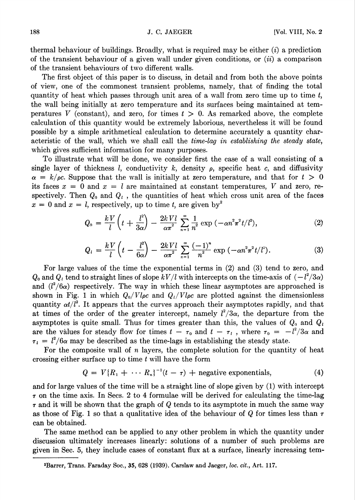thermal behaviour of buildings. Broadly, what is required may be either  $(i)$  a prediction of the transient behaviour of a given wall under given conditions, or  $(ii)$  a comparison of the transient behaviours of two different walls.

The first object of this paper is to discuss, in detail and from both the above points of view, one of the commonest transient problems, namely, that of finding the total quantity of heat which passes through unit area of a wall from zero time up to time  $t$ , the wall being initially at zero temperature and its surfaces being maintained at temperatures V (constant), and zero, for times  $t > 0$ . As remarked above, the complete calculation of this quantity would be extremely laborious, nevertheless it will be found possible by a simple arithmetical calculation to determine accurately a quantity characteristic of the wall, which we shall call the time-lag in establishing the steady state, which gives sufficient information for many purposes.

To illustrate what will be done, we consider first the case of a wall consisting of a single layer of thickness *l*, conductivity k, density  $\rho$ , specific heat c, and diffusivity  $\alpha = k/\rho c$ . Suppose that the wall is initially at zero temperature, and that for  $t > 0$ its faces  $x = 0$  and  $x = l$  are maintained at constant temperatures, V and zero, respectively. Then  $Q_0$  and  $Q_t$ , the quantities of heat which cross unit area of the faces  $x = 0$  and  $x = l$ , respectively, up to time t, are given by<sup>2</sup>

$$
Q_0 = \frac{kV}{l} \left( t + \frac{l^2}{3\alpha} \right) - \frac{2kVl}{\alpha \pi^2} \sum_{n=1}^{\infty} \frac{1}{n^2} \exp \left( -\alpha n^2 \pi^2 t / l^2 \right), \tag{2}
$$

$$
Q_{l} = \frac{kV}{l} \left( t - \frac{l^{2}}{6\alpha} \right) - \frac{2kVl}{\alpha \pi^{2}} \sum_{n=1}^{\infty} \frac{(-1)^{n}}{n^{2}} \exp \left( -\alpha n^{2} \pi^{2} t/l^{2} \right).
$$
 (3)

For large values of the time the exponential terms in (2) and (3) tend to zero, and  $Q_0$  and  $Q_t$  tend to straight lines of slope  $kV/l$  with intercepts on the time-axis of  $(-l^2/3\alpha)$ and  $(l^2/6\alpha)$  respectively. The way in which these linear asymptotes are approached is shown in Fig. 1 in which  $Q_0/Vl\rho c$  and  $Q_1/Vl\rho c$  are plotted against the dimensionless quantity  $\alpha t/l^2$ . It appears that the curves approach their asymptotes rapidly, and that at times of the order of the greater intercept, namely  $l^2/3\alpha$ , the departure from the asymptotes is quite small. Thus for times greater than this, the values of  $Q_0$  and  $Q_i$ are the values for steady flow for times  $t - \tau_0$  and  $t - \tau_1$ , where  $\tau_0 = -l^2/3\alpha$  and  $\tau_l = l^2/6\alpha$  may be described as the time-lags in establishing the steady state.

For the composite wall of n layers, the complete solution for the quantity of heat crossing either surface up to time t will have the form

$$
Q = V\{R_1 + \cdots R_n\}^{-1}(t - \tau) + \text{negative exponentials,}
$$
 (4)

and for large values of the time will be a straight line of slope given by (1) with intercept  $\tau$  on the time axis. In Secs. 2 to 4 formulae will be derived for calculating the time-lag  $\tau$  and it will be shown that the graph of Q tends to its asymptote in much the same way as those of Fig. 1 so that a qualitative idea of the behaviour of Q for times less than  $\tau$ can be obtained.

The same method can be applied to any other problem in which the quantity under discussion ultimately increases linearly: solutions of a number of such problems are given in Sec. 5, they include cases of constant flux at a surface, linearly increasing tem-

<sup>&</sup>lt;sup>2</sup>Barrer, Trans. Faraday Soc., 35, 628 (1939). Carslaw and Jaeger, loc. cit., Art. 117.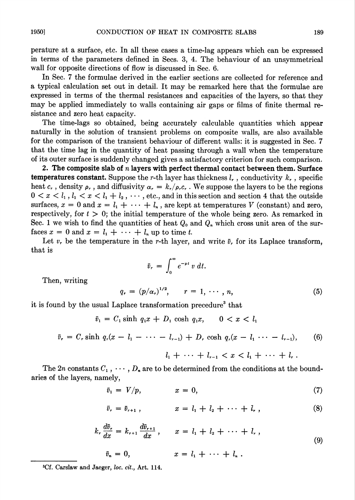perature at a surface, etc. In all these cases a time-lag appears which can be expressed in terms of the parameters defined in Sees. 3, 4. The behaviour of an unsvmmetrical wall for opposite directions of flow is discussed in Sec. 6.

In Sec. 7 the formulae derived in the earlier sections are collected for reference and a typical calculation set out in detail. It may be remarked here that the formulae are expressed in terms of the thermal resistances and capacities of the layers, so that they may be applied immediately to walls containing air gaps or films of finite thermal resistance and zero heat capacity.

The time-lags so obtained, being accurately calculable quantities which appear naturally in the solution of transient problems on composite walls, are also available for the comparison of the transient behaviour of different walls: it is suggested in Sec. 7 that the time lag in the quantity of heat passing through a wall when the temperature of its outer surface is suddenly changed gives a satisfactory criterion for such comparison.

2. The composite slab of  $n$  layers with perfect thermal contact between them. Surface **temperatures constant.** Suppose the r-th layer has thickness  $l_r$ , conductivity  $k_r$ , specific heat c, density  $\rho_r$ , and diffusivity  $\alpha_r = k_r/\rho_r c_r$ . We suppose the layers to be the regions  $0 < x < l_1, l_1 < x < l_1 + l_2, \cdots$ , etc., and in this section and section 4 that the outside surfaces,  $x = 0$  and  $x = l_1 + \cdots + l_n$ , are kept at temperatures V (constant) and zero, respectively, for  $t > 0$ ; the initial temperature of the whole being zero. As remarked in Sec. 1 we wish to find the quantities of heat  $Q_0$  and  $Q_n$  which cross unit area of the surfaces  $x = 0$  and  $x = l_1 + \cdots + l_n$  up to time t.

Let  $v_r$ , be the temperature in the r-th layer, and write  $\bar{v}_r$  for its Laplace transform, that is

$$
\bar{v}_r = \int_0^\infty e^{-pt} v \, dt.
$$

Then, writing

$$
q_r = (p/\alpha_r)^{1/2}, \qquad r = 1, \cdots, n,
$$
 (5)

it is found by the usual Laplace transformation precedure<sup>3</sup> that

 $\bar{v}_1 = C_1 \sinh q_1 x + D_1 \cosh q_1 x, \quad 0 < x < l_1$ 

$$
\bar{v}_r = C_r \sinh q_r(x - l_1 - \cdots - l_{r-1}) + D_r \cosh q_r(x - l_1 \cdots - l_{r-1}),
$$
 (6)

$$
l_1 + \cdots + l_{r-1} < x < l_1 + \cdots + l_r \, .
$$

The 2n constants  $C_1$ ,  $\cdots$ ,  $D_n$  are to be determined from the conditions at the boundaries of the layers, namely,

$$
\bar{v}_1 = V/p, \qquad x = 0, \tag{7}
$$

$$
\bar{v}_r = \bar{v}_{r+1} \,, \qquad x = l_1 + l_2 + \cdots + l_r \,, \tag{8}
$$

$$
k_r \frac{d\bar{v}_r}{dx} = k_{r+1} \frac{d\bar{v}_{r+1}}{dx}, \qquad x = l_1 + l_2 + \cdots + l_r,
$$
\n(9)

$$
\bar{v}_n = 0, \qquad \qquad x = l_1 + \cdots + l_n
$$

<sup>3</sup>Cf. Carslaw and Jaeger, loc. cit., Art. 114.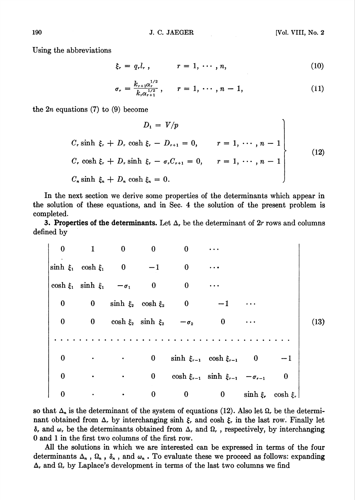Using the abbreviations

$$
\xi_r = q_r l_r, \qquad r = 1, \cdots, n, \qquad (10)
$$

$$
\sigma_r = \frac{k_{r+1}\alpha_r^{1/2}}{k_r\alpha_{r+1}^{1/2}}, \qquad r = 1, \cdots, n-1,
$$
 (11)

the  $2n$  equations (7) to (9) become

$$
D_1 = V/p
$$
  
\nC, sinh  $\xi$ , + D, cosh  $\xi$ , - D<sub>r+1</sub> = 0,  $r = 1, \dots, n - 1$   
\nC, cosh  $\xi$ , + D, sinh  $\xi$ , -  $\sigma$ , C<sub>r+1</sub> = 0,  $r = 1, \dots, n - 1$   
\nC<sub>n</sub> sinh  $\xi$ <sub>n</sub> + D<sub>n</sub> cosh  $\xi$ <sub>n</sub> = 0. (12)

In the next section we derive some properties of the determinants which appear in the solution of these equations, and in Sec- 4 the solution of the present problem is completed.

3. Properties of the determinants. Let  $\Delta$ , be the determinant of  $2r$  rows and columns defined by

|      |          |                           |                  | $\bf{0}$                                            | $\bf{0}$                   | $\bf{0}$                                 | $\mathbf{1}$                           | $\bf{0}$     |
|------|----------|---------------------------|------------------|-----------------------------------------------------|----------------------------|------------------------------------------|----------------------------------------|--------------|
|      |          |                           | $\ddotsc$        | $\bf{0}$                                            | $-1$                       |                                          | $\sinh \xi_1$ cosh $\xi_1$ 0           |              |
|      |          |                           |                  | $\mathbf{0}$                                        | $\overline{\phantom{0}}$ 0 |                                          | $\cosh \xi_1$ sinh $\xi_1$ $-\sigma_1$ |              |
|      |          | $\cdots$                  |                  | 0 $\sinh \xi_2$ $\cosh \xi_2$ 0                     |                            |                                          |                                        | $\mathbf{0}$ |
| (13) |          | $\cdots$                  | $\bf{0}$         |                                                     |                            | 0 $\cosh \xi_2$ sinh $\xi_2$ $-\sigma_2$ |                                        | $\mathbf{0}$ |
|      |          |                           |                  |                                                     |                            |                                          |                                        |              |
|      | $-1$     |                           |                  | $\sinh \xi_{r-1}$ cosh $\xi_{r-1}$ 0                | $\bf{0}$                   |                                          |                                        | 0            |
|      | $\bf{0}$ |                           |                  | $\cosh \xi_{r-1}$ sinh $\xi_{r-1}$ - $\sigma_{r-1}$ | $\bf{0}$                   |                                          |                                        | $\bf{0}$     |
|      |          | $\sinh \xi$ , $\cosh \xi$ | $\boldsymbol{0}$ | $\bf{0}$                                            | $\boldsymbol{0}$           |                                          |                                        | 0            |

so that  $\Delta_n$  is the determinant of the system of equations (12). Also let  $\Omega_r$  be the determinant obtained from  $\Delta_r$  by interchanging sinh  $\xi_r$  and cosh  $\xi_r$  in the last row. Finally let  $\delta$ , and  $\omega$ , be the determinants obtained from  $\Delta$ , and  $\Omega$ , , respectively, by interchanging 0 and 1 in the first two columns of the first row.

All the solutions in which we are interested can be expressed in terms of the four determinants  $\Delta_n$ ,  $\Omega_n$ ,  $\delta_n$ , and  $\omega_n$ . To evaluate these we proceed as follows: expanding  $\Delta$ , and  $\Omega$ , by Laplace's development in terms of the last two columns we find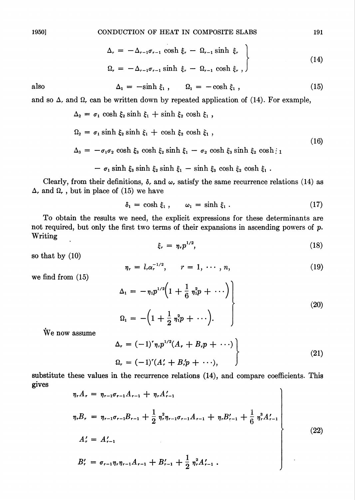$$
\Delta_r = -\Delta_{r-1}\sigma_{r-1} \cosh \xi_r - \Omega_{r-1} \sinh \xi_r
$$
\n
$$
\Omega_r = -\Delta_{r-1}\sigma_{r-1} \sinh \xi_r - \Omega_{r-1} \cosh \xi_r, \qquad (14)
$$

also 
$$
\Delta_1 = -\sinh \xi_1, \qquad \Omega_1 = -\cosh \xi_1, \qquad (15)
$$

and so  $\Delta$ , and  $\Omega$ , can be written down by repeated application of (14). For example,

$$
\Delta_2 = \sigma_1 \cosh \xi_2 \sinh \xi_1 + \sinh \xi_2 \cosh \xi_1,
$$

$$
\Omega_2 = \sigma_1 \sinh \xi_2 \sinh \xi_1 + \cosh \xi_2 \cosh \xi_1 ,
$$
\n(16)

$$
\Delta_3 = -\sigma_1 \sigma_2 \cosh \xi_3 \cosh \xi_2 \sinh \xi_1 - \sigma_2 \cosh \xi_3 \sinh \xi_2 \cosh \xi_1
$$

$$
- \sigma_1 \sinh \xi_3 \sinh \xi_2 \sinh \xi_1 - \sinh \xi_3 \cosh \xi_2 \cosh \xi_1.
$$

Clearly, from their definitions,  $\delta$ , and  $\omega$ , satisfy the same recurrence relations (14) as  $\Delta_r$  and  $\Omega_r$  , but in place of (15) we have

$$
\delta_1 = \cosh \xi_1 \,, \qquad \omega_1 = \sinh \xi_1 \,. \tag{17}
$$

To obtain the results we need, the explicit expressions for these determinants are not required, but only the first two terms of their expansions in ascending powers of  $p$ . Writing

$$
\xi_r = \eta_r p^{1/2},\tag{18}
$$

so that by (10)

$$
\eta_r = l_r \alpha_r^{-1/2}, \qquad r = 1, \cdots, n,
$$
\n(19)

we find from (15)

$$
\Delta_1 = -\eta_1 p^{1/2} \left( 1 + \frac{1}{6} \eta_1^2 p + \cdots \right) \Bigg\} \n\Omega_1 = -\left( 1 + \frac{1}{2} \eta_1^2 p + \cdots \right).
$$
\n(20)

We now assume

$$
\Delta_r = (-1)^r \eta_r p^{1/2} (A_r + B_r p + \cdots) \n\Omega_r = (-1)^r (A'_r + B'_r p + \cdots),
$$
\n(21)

substitute these values in the recurrence relations (14), and compare coefficients. This gives  $\overline{\phantom{a}}$ 

$$
\eta_r A_r = \eta_{r-1} \sigma_{r-1} A_{r-1} + \eta_r A'_{r-1}
$$
\n
$$
\eta_r B_r = \eta_{r-1} \sigma_{r-1} B_{r-1} + \frac{1}{2} \eta_r^2 \eta_{r-1} \sigma_{r-1} A_{r-1} + \eta_r B'_{r-1} + \frac{1}{6} \eta_r^3 A'_{r-1}
$$
\n
$$
A'_r = A'_{r-1}
$$
\n
$$
B'_r = \sigma_{r-1} \eta_r \eta_{r-1} A_{r-1} + B'_{r-1} + \frac{1}{2} \eta_r^2 A'_{r-1} .
$$
\n(22)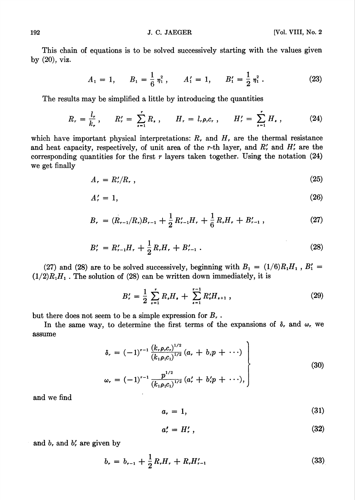This chain of equations is to be solved successively starting with the values given by (20), viz.

$$
A_1 = 1, \qquad B_1 = \frac{1}{6} \eta_1^2, \qquad A_1' = 1, \qquad B_1' = \frac{1}{2} \eta_1^2. \tag{23}
$$

The results may be simplified a little by introducing the quantities

$$
R_r = \frac{l_r}{k_r}, \qquad R'_r = \sum_{s=1}^r R_s, \qquad H_r = l_r \rho_r c_r, \qquad H'_r = \sum_{s=1}^r H_s, \qquad (24)
$$

which have important physical interpretations:  $R_r$ , and  $H_r$ , are the thermal resistance and heat capacity, respectively, of unit area of the r-th layer, and  $R'_r$  and  $H'_r$  are the corresponding quantities for the first  $r$  layers taken together. Using the notation  $(24)$ we get finally

$$
A_r = R'_r / R_r \t\t(25)
$$

$$
A'_r = 1,\t\t(26)
$$

$$
B_r = (R_{r-1}/R_r)B_{r-1} + \frac{1}{2}R'_{r-1}H_r + \frac{1}{6}R_rH_r + B'_{r-1},
$$
\n(27)

$$
B'_{r} = R'_{r-1}H_{r} + \frac{1}{2}R_{r}H_{r} + B'_{r-1} . \qquad (28)
$$

(27) and (28) are to be solved successively, beginning with  $B_1 = (1/6)R_1H_1$ ,  $B_1' =$  $(1/2)R<sub>1</sub>H<sub>1</sub>$ . The solution of (28) can be written down immediately, it is

$$
B'_{r} = \frac{1}{2} \sum_{s=1}^{r} R_{s} H_{s} + \sum_{s=1}^{r-1} R'_{s} H_{s+1} , \qquad (29)
$$

but there does not seem to be a simple expression for  $B_r$ .

In the same way, to determine the first terms of the expansions of  $\delta$ , and  $\omega$ <sub>r</sub> we assume

$$
\delta_r = (-1)^{r-1} \frac{(k_r \rho_r c_r)^{1/2}}{(k_1 \rho_1 c_1)^{1/2}} (a_r + b_r p + \cdots)
$$
\n
$$
\omega_r = (-1)^{r-1} \frac{p^{1/2}}{(k_1 \rho_1 c_1)^{1/2}} (a'_r + b'_r p + \cdots),
$$
\n(30)

and we find

$$
a_r = 1,\t\t(31)
$$

$$
a'_r = H'_r \,, \tag{32}
$$

and  $b<sub>r</sub>$  and  $b<sub>r</sub>$  are given by

$$
b_r = b_{r-1} + \frac{1}{2}R_rH_r + R_rH_{r-1}' \tag{33}
$$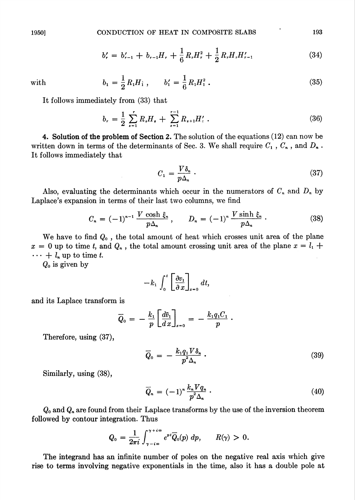$$
b'_{r} = b'_{r-1} + b_{r-1}H_{r} + \frac{1}{6}R_{r}H_{r}^{2} + \frac{1}{2}R_{r}H_{r}H_{r-1}' \tag{34}
$$

with  $b_1 = \frac{1}{2} R_1 H_1$ ,  $b'_1 = \frac{1}{6} R_1 H_1^2$ . (35)

It follows immediately from (33) that

$$
b_r = \frac{1}{2} \sum_{s=1}^r R_s H_s + \sum_{s=1}^{r-1} R_{s+1} H_s' \tag{36}
$$

4. Solution of the problem of Section 2. The solution of the equations (12) can now be written down in terms of the determinants of Sec. 3. We shall require  $C_1$  ,  $C_n$  , and  $D_n$ . It follows immediately that

$$
C_1 = \frac{V\delta_n}{p\Delta_n} \tag{37}
$$

Also, evaluating the determinants which occur in the numerators of  $C_n$  and  $D_n$  by Laplace's expansion in terms of their last two columns, we find

$$
C_n = (-1)^{n-1} \frac{V \cosh \xi_n}{p \Delta_n}, \qquad D_n = (-1)^n \frac{V \sinh \xi_n}{p \Delta_n}.
$$
 (38)

We have to find  $Q_0$ , the total amount of heat which crosses unit area of the plane  $x = 0$  up to time t, and  $Q_n$ , the total amount crossing unit area of the plane  $x = l_1 +$  $\cdots$  +  $l_n$  up to time t.

 $Q_0$  is given by

$$
-k_1\int_0^t \left[\frac{\partial v_1}{\partial x}\right]_{x=0} dt,
$$

and its Laplace transform is

$$
\overline{Q}_0 = -\frac{k_1}{p} \left[ \frac{d\overline{v}_1}{dx} \right]_{x=0} = -\frac{k_1 q_1 C_1}{p}.
$$

Therefore, using (37),

$$
\overline{Q}_0 = -\frac{k_1 q_1 V \delta_n}{p^2 \Delta_n} \,. \tag{39}
$$

Similarly, using (38),

$$
\overline{Q}_n = (-1)^n \frac{k_n V q_n}{p^2 \Delta_n} \,. \tag{40}
$$

 $Q_0$  and  $Q_n$  are found from their Laplace transforms by the use of the inversion theorem followed by contour integration. Thus

$$
Q_0 = \frac{1}{2\pi i} \int_{\gamma - i\infty}^{\gamma + i\infty} e^{pt} \overline{Q}_0(p) dp, \qquad R(\gamma) > 0.
$$

The integrand has an infinite number of poles on the negative real axis which give rise to terms involving negative exponentials in the time, also it has a double pole at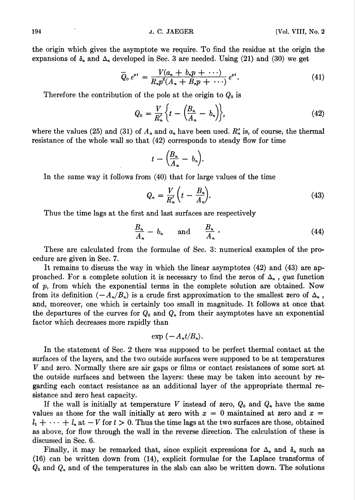the origin which gives the asymptote we require. To find the residue at the origin the expansions of  $\delta_n$  and  $\Delta_n$  developed in Sec. 3 are needed. Using (21) and (30) we get

$$
\overline{Q}_0 e^{pt} = \frac{V(a_n + b_n p + \cdots)}{R_n p^2 (A_n + B_n p + \cdots)} e^{pt}.
$$
\n(41)

Therefore the contribution of the pole at the origin to  $Q_0$  is

$$
Q_0 = \frac{V}{R'_n} \left\{ t - \left( \frac{B_n}{A_n} - b_n \right) \right\},\tag{42}
$$

where the values (25) and (31) of  $A_n$  and  $a_n$  have been used.  $R'_n$  is, of course, the thermal resistance of the whole wall so that (42) corresponds to steady flow for time

$$
t-\Big(\frac{B_n}{A_n}-b_n\Big).
$$

In the same way it follows from (40) that for large values of the time

$$
Q_n = \frac{V}{R'_n} \bigg( t - \frac{B_n}{A_n} \bigg). \tag{43}
$$

Thus the time lags at the first and last surfaces are respectively

$$
\frac{B_n}{A_n} - b_n \quad \text{and} \quad \frac{B_n}{A_n} \tag{44}
$$

These are calculated from the formulae of Sec. 3: numerical examples of the procedure are given in Sec. 7.

It remains to discuss the way in which the linear asymptotes (42) and (43) are approached. For a complete solution it is necessary to find the zeros of  $\Delta_n$ , qua function of  $p$ , from which the exponential terms in the complete solution are obtained. Now from its definition  $(-A_n/B_n)$  is a crude first approximation to the smallest zero of  $\Delta_n$ , and, moreover, one which is certainly too small in magnitude. It follows at once that the departures of the curves for  $Q_0$  and  $Q_n$  from their asymptotes have an exponential factor which decreases more rapidly than

$$
\exp(-A_n t/B_n).
$$

In the statement of Sec. 2 there was supposed to be perfect thermal contact at the surfaces of the layers, and the two outside surfaces were supposed to be at temperatures V and zero. Normally there are air gaps or films or contact resistances of some sort at the outside surfaces and between the layers: these may be taken into account by regarding each contact resistance as an additional layer of the appropriate thermal resistance and zero heat capacity.

If the wall is initially at temperature V instead of zero,  $Q_0$  and  $Q_n$  have the same values as those for the wall initially at zero with  $x = 0$  maintained at zero and  $x =$  $l_1 + \cdots + l_n$  at  $-V$  for  $t > 0$ . Thus the time lags at the two surfaces are those, obtained as above, for flow through the wall in the reverse direction. The calculation of these is discussed in Sec. 6.

Finally, it may be remarked that, since explicit expressions for  $\Delta_n$  and  $\delta_n$  such as (16) can be written down from (14), explicit formulae for the Laplace transforms of  $Q_0$  and  $Q_n$  and of the temperatures in the slab can also be written down. The solutions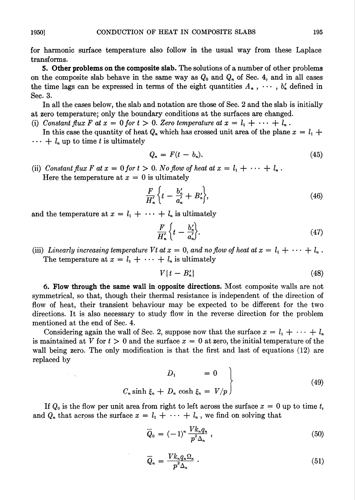5. Other problems on the composite slab. The solutions of a number of other problems on the composite slab behave in the same way as  $Q_0$  and  $Q_n$  of Sec. 4, and in all cases the time lags can be expressed in terms of the eight quantities  $A_n$ ,  $\dots$ ,  $b'_n$  defined in Sec. 3.

In all the cases below, the slab and notation are those of Sec. 2 and the slab is initially at zero temperature; only the boundary conditions at the surfaces are changed.

(i) Constant flux F at  $x = 0$  for  $t > 0$ . Zero temperature at  $x = l_1 + \cdots + l_n$ .

In this case the quantity of heat  $Q_n$  which has crossed unit area of the plane  $x = l_1 + l_2$  $\cdots + l_n$  up to time t is ultimately

$$
Q_n = F(t - b_n). \tag{45}
$$

(ii) Constant flux F at  $x = 0$  for  $t > 0$ . No flow of heat at  $x = l_1 + \cdots + l_n$ . Here the temperature at  $x = 0$  is ultimately

$$
\frac{F}{H'_n}\bigg\{t-\frac{b'_n}{a'_n}+B'_n\bigg\},\tag{46}
$$

and the temperature at  $x = l_1 + \cdots + l_n$  is ultimately

$$
\frac{F}{H'_n}\left\{t-\frac{b'_n}{a'_n}\right\}.\tag{47}
$$

(iii) Linearly increasing temperature Vt at  $x = 0$ , and no flow of heat at  $x = l_1 + \cdots + l_n$ . The temperature at  $x = l_1 + \cdots + l_n$  is ultimately

$$
V\{t-B_n'\}\tag{48}
$$

6. Flow through the same wall in opposite directions. Most composite walls are not symmetrical, so that, though their thermal resistance is independent of the direction of flow of heat, their transient behaviour may be expected to be different for the two directions. It is also necessary to study flow in the reverse direction for the problem mentioned at the end of Sec. 4.

Considering again the wall of Sec. 2, suppose now that the surface  $x = l_1 + \cdots + l_n$ is maintained at V for  $t > 0$  and the surface  $x = 0$  at zero, the initial temperature of the wall being zero. The only modification is that the first and last of equations (12) are replaced by

$$
D_1 = 0
$$
  

$$
C_n \sinh \xi_n + D_n \cosh \xi_n = V/p
$$
 (49)

If  $Q_0$  is the flow per unit area from right to left across the surface  $x = 0$  up to time t, and  $Q_n$  that across the surface  $x = l_1 + \cdots + l_n$ , we find on solving that

$$
\overline{Q}_0 = (-1)^n \frac{V k_n q_n}{p^2 \Delta_n}, \qquad (50)
$$

$$
\overline{Q}_n = \frac{V k_n q_n \Omega_n}{p^2 \Delta_n} \ . \tag{51}
$$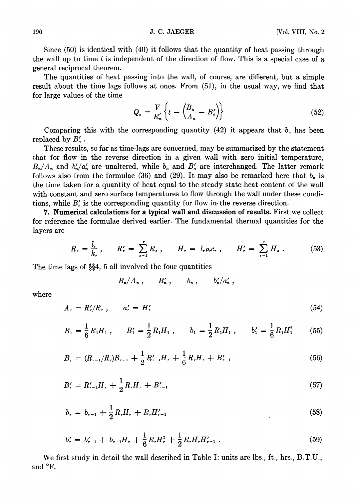Since (50) is identical with (40) it follows that the quantity of heat passing through the wall up to time  $t$  is independent of the direction of flow. This is a special case of  $a$ general reciprocal theorem.

The quantities of heat passing into the wall, of course, are different, but a simple result about the time lags follows at once. From (51), in the usual way, we find that for large values of the time

$$
Q_n = \frac{V}{R'_n} \left\{ t - \left( \frac{B_n}{A_n} - B'_n \right) \right\} \tag{52}
$$

Comparing this with the corresponding quantity (42) it appears that  $b_n$  has been replaced by  $B'_n$ .

These results, so far as time-lags are concerned, may be summarized by the statement that for flow in the reverse direction in a given wall with zero initial temperature,  $B_n/A_n$  and  $b'_n/a'_n$  are unaltered, while  $b_n$  and  $B'_n$  are interchanged. The latter remark follows also from the formulae (36) and (29). It may also be remarked here that  $b_n$  is the time taken for a quantity of heat equal to the steady state heat content of the wall with constant and zero surface temperatures to flow through the wall under these conditions, while  $B'_n$  is the corresponding quantity for flow in the reverse direction.

7. Numerical calculations for a typical wall and discussion of results. First we collect for reference the formulae derived earlier. The fundamental thermal quantities for the layers are

$$
R_r = \frac{l_r}{k_r}, \qquad R'_r = \sum_{s=1}^r R_s, \qquad H_r = l_r \rho_r c_r, \qquad H'_r = \sum_{s=1}^r H_s \,.
$$
 (53)

The time lags of §§4, 5 all involved the four quantities

 $B_n/A_n$ ,  $B'_n$ ,  $b_n$ ,  $b'_n/a'_n$ ,

where

$$
A_r = R'_r/R_r, \qquad a'_r = H'_r \tag{54}
$$

$$
B_1 = \frac{1}{6} R_1 H_1 , \qquad B'_1 = \frac{1}{2} R_1 H_1 , \qquad b_1 = \frac{1}{2} R_1 H_1 , \qquad b'_1 = \frac{1}{6} R_1 H_1^2 \qquad (55)
$$

$$
B_r = (R_{r-1}/R_r)B_{r-1} + \frac{1}{2}R'_{r-1}H_r + \frac{1}{6}R_rH_r + B'_{r-1}
$$
\n
$$
(56)
$$

$$
B'_{r} = R'_{r-1}H_{r} + \frac{1}{2}R_{r}H_{r} + B'_{r-1}
$$
\n
$$
\tag{57}
$$

$$
b_r = b_{r-1} + \frac{1}{2}R_r H_r + R_r H'_{r-1} \tag{58}
$$

$$
b'_{r} = b'_{r-1} + b_{r-1}H_{r} + \frac{1}{6}R_{r}H_{r}^{2} + \frac{1}{2}R_{r}H_{r}H_{r-1}'.
$$
\n
$$
(59)
$$

We first study in detail the wall described in Table I: units are lbs., ft., hrs., B.T.U., and °F.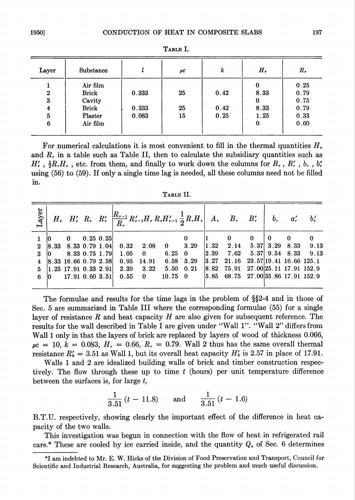| Layer          | Substance    |       | ρC | k    | Н,   | $R_{r}$ |
|----------------|--------------|-------|----|------|------|---------|
|                | Air film     |       |    |      | 0    | 0.25    |
| $\mathbf{2}$   | <b>Brick</b> | 0.333 | 25 | 0.42 | 8.33 | 0.79    |
| 3              | Cavity       |       |    |      | 0    | 0.75    |
| $\overline{4}$ | <b>Brick</b> | 0.333 | 25 | 0.42 | 8.33 | 0.79    |
| 5              | Plaster      | 0.083 | 15 | 0.25 | 1.25 | 0.33    |
| 6              | Air film     |       |    |      | 0    | 0.60    |
|                |              |       |    |      |      |         |

Table I.

For numerical calculations it is most convenient to fill in the thermal quantities  $H_r$ and  $R_r$ , in a table such as Table II, then to calculate the subsidiary quantities such as  $H'_{r}$ ,  $\frac{1}{2}R_{r}H_{r}$ , etc. from them, and finally to work down the columns for  $B_{r}$ ,  $B'_{r}$ ,  $b_{r}$ ,  $b'_{r}$ using (56) to (59). If only a single time lag is needed, all these columns need not be filled in.

| A RLE |
|-------|
|-------|

| ayer             |                                          |              | $H_r$ , $H'_r$ , $R_r$ , $R'_r$ , $\left  \frac{R_{r-1}}{R_r} R'_{r-1} H_r R_r H'_{r-1} \frac{1}{2} R_r H_r \right $ , $A_r$ , $B_r$ , $B'_r$ |              |                 |                   |                |                                                                       |     |    | b'                  |
|------------------|------------------------------------------|--------------|-----------------------------------------------------------------------------------------------------------------------------------------------|--------------|-----------------|-------------------|----------------|-----------------------------------------------------------------------|-----|----|---------------------|
|                  | $\mathbf{0}$                             | $0.25\;0.25$ |                                                                                                                                               |              |                 |                   |                | $\bf{0}$                                                              | - 0 | -0 | $\mathbf{0}$        |
| $\boldsymbol{2}$ | $ 8.33 \t8.33 \t0.79 \t1.04 $            |              | 0.32                                                                                                                                          | 2.08         | $\mathbf{0}$    | 3.29              |                | $\begin{array}{cccc} \n1.32 & 2.14 & 5.37 & 3.29 & 8.33\n\end{array}$ |     |    | 9.13                |
| 3                | 8.33 0.75 1.79                           |              | 1.05                                                                                                                                          | $\mathbf{0}$ | $6.25 \quad 0$  |                   | $ 2.39\rangle$ | $7.62\,$                                                              |     |    | 5.37 9.54 8.33 9.13 |
|                  | $ 8.33 \t16.66 \t0.79 \t2.58 $           |              | 0.95                                                                                                                                          | 14.91        | 6.58            | 3.29              |                | $ 3.27 \quad 21.16 \quad 23.57 19.41 \quad 16.66 \quad 125.1$         |     |    |                     |
|                  | $\vert 1.25 \ 17.91 \ 0.33 \ 2.91 \vert$ |              | 2.39                                                                                                                                          | 3.22         |                 | $5.50 \quad 0.21$ | 8.82           | 75.91 27.00 25.11 17.91 152.9                                         |     |    |                     |
|                  | 17.91 0.60 3.51                          |              | 0.55                                                                                                                                          | $\mathbf{0}$ | $10.75 \quad 0$ |                   |                | $ 5.85 \quad 68.75 \quad 27.00 35.86 \quad 17.91 \quad 152.9$         |     |    |                     |
|                  |                                          |              |                                                                                                                                               |              |                 |                   |                |                                                                       |     |    |                     |

The formulae and results for the time lags in the problem of §§2-4 and in those of Sec. 5 are summarized in Table III where the corresponding formulae (55) for a single layer of resistance  $R$  and heat capacity  $H$  are also given for subsequent reference. The results for the wall described in Table I are given under "Wall 1". "Wall 2" differs from Wall 1 only in that the layers of brick are replaced by layers of wood of thickness 0.066,  $pc = 10, k = 0.083, H_r = 0.66, R_r = 0.79$ . Wall 2 thus has the same overall thermal resistance  $R'_6 = 3.51$  as Wall 1, but its overall heat capacity  $H'_6$  is 2.57 in place of 17.91.

Walls 1 and 2 are idealized building walls of brick and timber construction respectively. The flow through these up to time  $t$  (hours) per unit temperature difference between the surfaces is, for large  $t$ ,

$$
\frac{1}{3.51} (t - 11.8) \quad \text{and} \quad \frac{1}{3.51} (t - 1.6)
$$

B.T.U. respectively, showing clearly the important effect of the difference in heat capacity of the two walls.

This investigation was begun in connection with the flow of heat in refrigerated rail cars.\* These are cooled by ice carried inside, and the quantity  $Q_n$  of Sec. 6 determines

<sup>\*1</sup> am indebted to Mr. E. W. Hicks of the Division of Food Preservation and Transport, Council for Scientific and Industrial Research, Australia, for suggesting the problem and much useful discussion.